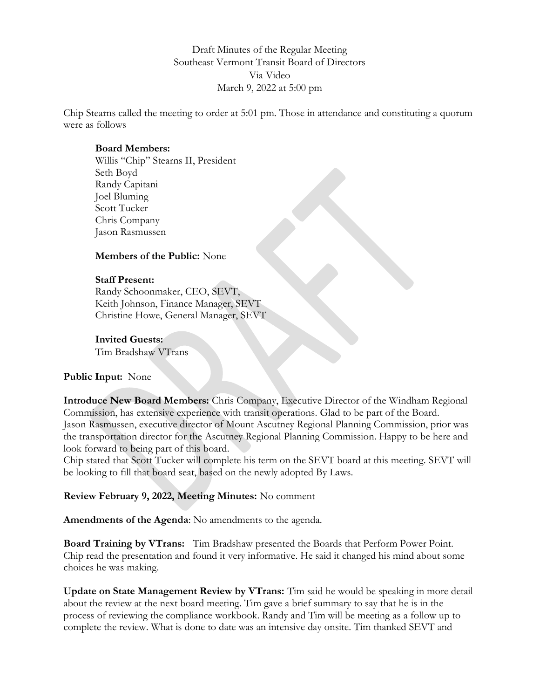Draft Minutes of the Regular Meeting Southeast Vermont Transit Board of Directors Via Video March 9, 2022 at 5:00 pm

Chip Stearns called the meeting to order at 5:01 pm. Those in attendance and constituting a quorum were as follows

# Board Members:

Willis "Chip" Stearns II, President Seth Boyd Randy Capitani Joel Bluming Scott Tucker Chris Company Jason Rasmussen

### Members of the Public: None

### Staff Present:

Randy Schoonmaker, CEO, SEVT, Keith Johnson, Finance Manager, SEVT Christine Howe, General Manager, SEVT

### Invited Guests:

Tim Bradshaw VTrans

# Public Input: None

Introduce New Board Members: Chris Company, Executive Director of the Windham Regional Commission, has extensive experience with transit operations. Glad to be part of the Board. Jason Rasmussen, executive director of Mount Ascutney Regional Planning Commission, prior was the transportation director for the Ascutney Regional Planning Commission. Happy to be here and look forward to being part of this board.

Chip stated that Scott Tucker will complete his term on the SEVT board at this meeting. SEVT will be looking to fill that board seat, based on the newly adopted By Laws.

# Review February 9, 2022, Meeting Minutes: No comment

Amendments of the Agenda: No amendments to the agenda.

Board Training by VTrans: Tim Bradshaw presented the Boards that Perform Power Point. Chip read the presentation and found it very informative. He said it changed his mind about some choices he was making.

Update on State Management Review by VTrans: Tim said he would be speaking in more detail about the review at the next board meeting. Tim gave a brief summary to say that he is in the process of reviewing the compliance workbook. Randy and Tim will be meeting as a follow up to complete the review. What is done to date was an intensive day onsite. Tim thanked SEVT and